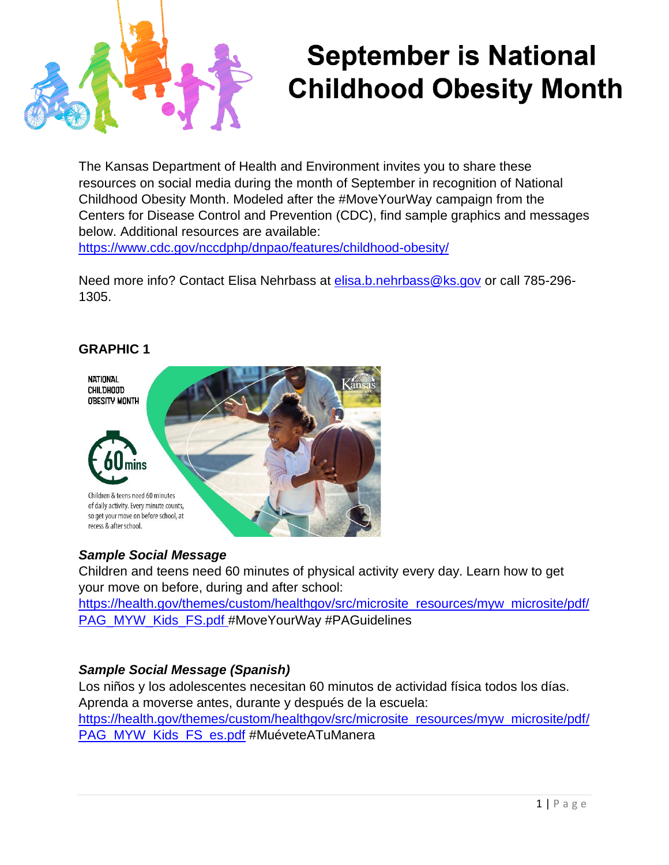

# **September is National Childhood Obesity Month**

The Kansas Department of Health and Environment invites you to share these resources on social media during the month of September in recognition of National Childhood Obesity Month. Modeled after the #MoveYourWay campaign from the Centers for Disease Control and Prevention (CDC), find sample graphics and messages below. Additional resources are available:

<https://www.cdc.gov/nccdphp/dnpao/features/childhood-obesity/>

Need more info? Contact Elisa Nehrbass at [elisa.b.nehrbass@ks.gov](mailto:elisa.b.nehrbass@ks.gov) or call 785-296- 1305.

#### **GRAPHIC 1**



#### *Sample Social Message*

Children and teens need 60 minutes of physical activity every day. Learn how to get your move on before, during and after school:

[https://health.gov/themes/custom/healthgov/src/microsite\\_resources/myw\\_microsite/pdf/](https://health.gov/themes/custom/healthgov/src/microsite_resources/myw_microsite/pdf/PAG_MYW_Kids_FS.pdf) [PAG\\_MYW\\_Kids\\_FS.pdf](https://health.gov/themes/custom/healthgov/src/microsite_resources/myw_microsite/pdf/PAG_MYW_Kids_FS.pdf) #MoveYourWay #PAGuidelines

## *Sample Social Message (Spanish)*

Los niños y los adolescentes necesitan 60 minutos de actividad física todos los días. Aprenda a moverse antes, durante y después de la escuela: [https://health.gov/themes/custom/healthgov/src/microsite\\_resources/myw\\_microsite/pdf/](https://health.gov/themes/custom/healthgov/src/microsite_resources/myw_microsite/pdf/PAG_MYW_Kids_FS_es.pdf) [PAG\\_MYW\\_Kids\\_FS\\_es.pdf](https://health.gov/themes/custom/healthgov/src/microsite_resources/myw_microsite/pdf/PAG_MYW_Kids_FS_es.pdf) #MuéveteATuManera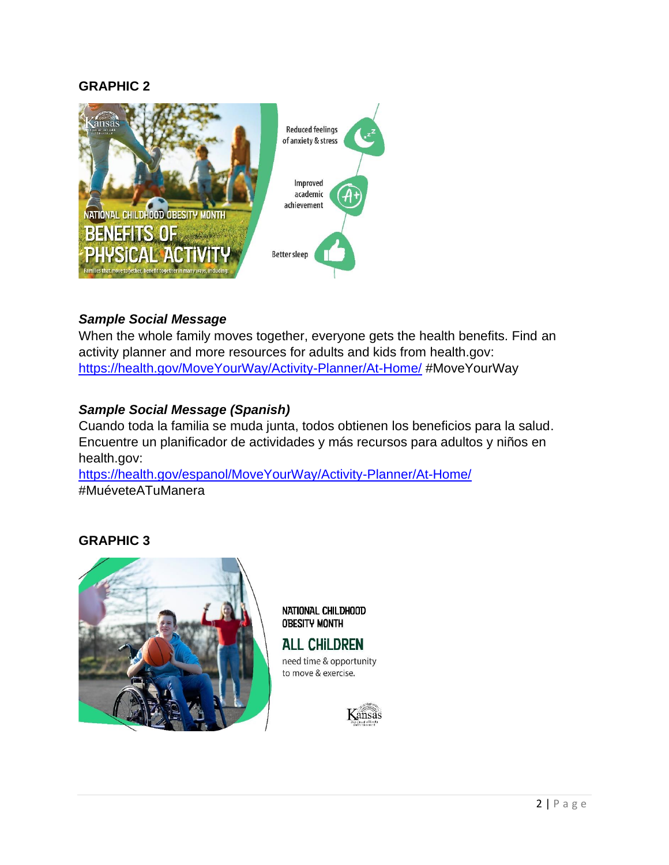#### **GRAPHIC 2**



# *Sample Social Message*

When the whole family moves together, everyone gets the health benefits. Find an activity planner and more resources for adults and kids from health.gov: <https://health.gov/MoveYourWay/Activity-Planner/At-Home/> #MoveYourWay

## *Sample Social Message (Spanish)*

Cuando toda la familia se muda junta, todos obtienen los beneficios para la salud. Encuentre un planificador de actividades y más recursos para adultos y niños en health.gov:

<https://health.gov/espanol/MoveYourWay/Activity-Planner/At-Home/> #MuéveteATuManera

### **GRAPHIC 3**



NATIONAL CHILDHOOD **OBESITY MONTH** 

**ALL CHILDREN** need time & opportunity to move & exercise.